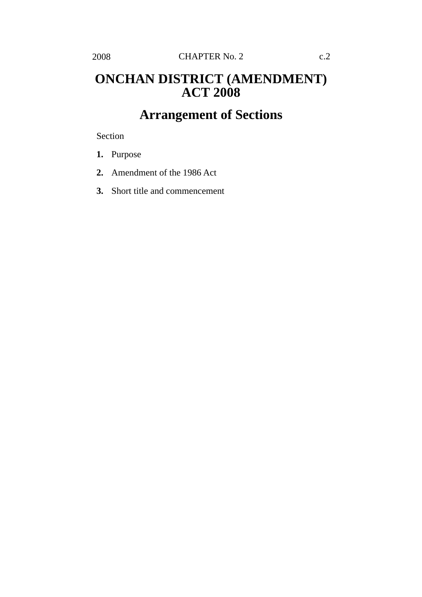## **ONCHAN DISTRICT (AMENDMENT) ACT 2008**

## **Arrangement of Sections**

Section

- **1.** Purpose
- **2.** Amendment of the 1986 Act
- **3.** Short title and commencement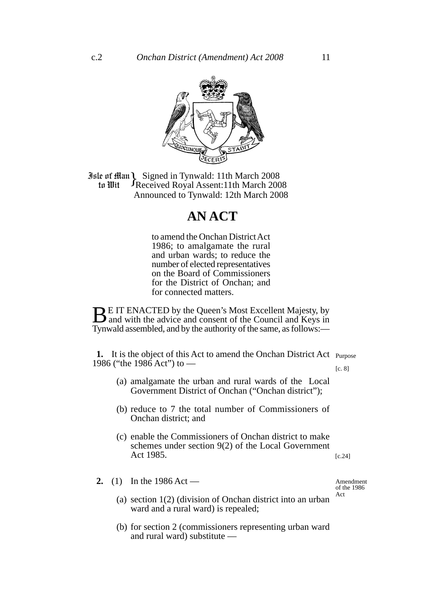

**Jule of Han Signed in Tynwald: 11th March 2008**<br>**10 In Wit** Freceived Royal Assent: 11th March 200 Received Royal Assent:11th March 2008 Announced to Tynwald: 12th March 2008 to Wit

## **AN ACT**

to amend the Onchan District Act 1986; to amalgamate the rural and urban wards; to reduce the number of elected representatives on the Board of Commissioners for the District of Onchan; and for connected matters.

**BE IT ENACTED by the Queen's Most Excellent Majesty, by** and with the advice and consent of the Council and Keys in Tynwald assembled, and by the authority of the same, as follows:—

**1.** It is the object of this Act to amend the Onchan District Act Purpose 1986 ("the 1986 Act") to —

[c. 8]

- (a) amalgamate the urban and rural wards of the Local Government District of Onchan ("Onchan district");
- (b) reduce to 7 the total number of Commissioners of Onchan district; and
- (c) enable the Commissioners of Onchan district to make schemes under section 9(2) of the Local Government Act 1985.

[c.24]

**2.** (1) In the 1986 Act —

Amendment of the 1986 Act

- (a) section 1(2) (division of Onchan district into an urban ward and a rural ward) is repealed;
- (b) for section 2 (commissioners representing urban ward and rural ward) substitute —